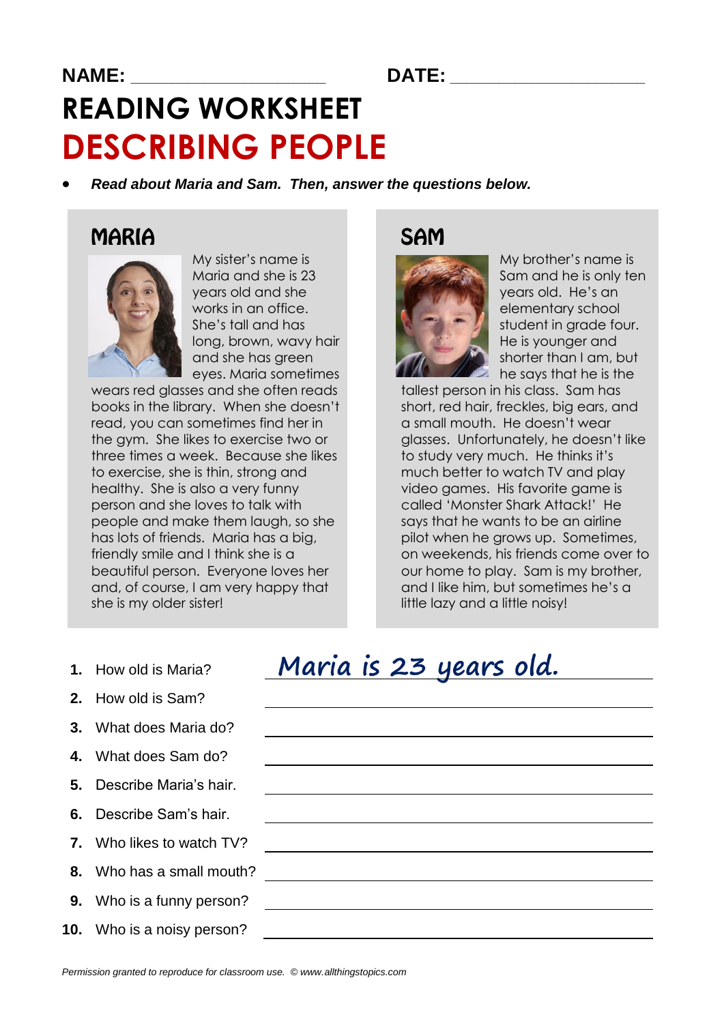#### **NAME: \_\_\_\_\_\_\_\_\_\_\_\_\_\_\_\_\_\_\_\_\_\_\_\_ DATE: \_\_\_\_\_\_\_\_\_\_\_\_\_\_\_\_\_\_\_\_\_\_\_\_**

# **READING WORKSHEET DESCRIBING PEOPLE**

*Read about Maria and Sam. Then, answer the questions below.*

### **MARIA**



My sister's name is Maria and she is 23 years old and she works in an office. She's tall and has long, brown, wavy hair and she has green eyes. Maria sometimes

wears red glasses and she often reads books in the library. When she doesn't read, you can sometimes find her in the gym. She likes to exercise two or three times a week. Because she likes to exercise, she is thin, strong and healthy. She is also a very funny person and she loves to talk with people and make them laugh, so she has lots of friends. Maria has a big, friendly smile and I think she is a beautiful person. Everyone loves her and, of course, I am very happy that she is my older sister!

#### **SAM**



My brother's name is Sam and he is only ten years old. He's an elementary school student in grade four. He is younger and shorter than I am, but he says that he is the

tallest person in his class. Sam has short, red hair, freckles, big ears, and a small mouth. He doesn't wear glasses. Unfortunately, he doesn't like to study very much. He thinks it's much better to watch TV and play video games. His favorite game is called 'Monster Shark Attack!' He says that he wants to be an airline pilot when he grows up. Sometimes, on weekends, his friends come over to our home to play. Sam is my brother, and I like him, but sometimes he's a little lazy and a little noisy!

- **1.** How old is Maria?
- **2.** How old is Sam?
- **3.** What does Maria do?
- **4.** What does Sam do?
- **5.** Describe Maria's hair.
- **6.** Describe Sam's hair.
- **7.** Who likes to watch TV?
- **8.** Who has a small mouth?
- **9.** Who is a funny person?
- **10.** Who is a noisy person?

## Maria is 23 years old.

<u> 1989 - Johann Stoff, deutscher Stoffen und der Stoffen und der Stoffen und der Stoffen und der Stoffen und d</u>

*Permission granted to reproduce for classroom use. © www.allthingstopics.com*